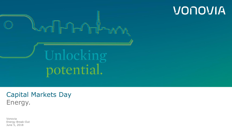

VONOVIA

### Capital Markets Day Energy.

Vonovia Energy Break-Out June 5, 2018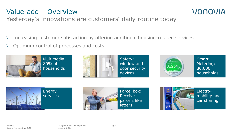### Value-add – Overview



Yesterday's innovations are customers' daily routine today

- $\sum$ Increasing customer satisfaction by offering additional housing-related services
- Optimum control of processes and costs







**Smart** Metering: 80.000 households







Electromobility and car sharing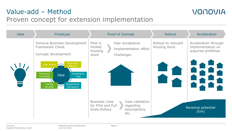## Value-add – Method



## Proven concept for extension implementation

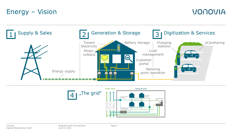## Energy – Vision



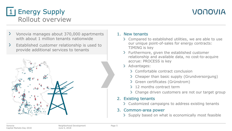## 1 | Energy Supply Rollout overview

## VONOVIA

- $\geq$ Vonovia manages about 370,000 apartments with about 1 million tenants nationwide
- $\sum$ Established customer relationship is used to provide additional services to tenants



#### 1. New tenants

- Compared to established utilities, we are able to use our unique point-of-sales for energy contracts: TIMING is key
- > Furthermore, given the established customer relationship and available data, no cost-to-acquire accrue: PROCESS is key
- > Advantages:
	- Comfortable contract conclusion
	- > Cheaper than basic supply (Grundversorgung)
	- > Green certificates (Grünstrom)
	- > 12 months contract term
	- > Change driven customers are not our target group

#### 2. Existing tenants

Customized campaigns to address existing tenants

#### 3. Common-area power

Supply based on what is economically most feasible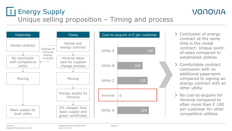## 1 | Energy Supply Unique selling proposition – Timing and process



> Conclusion of energy contract at the same time is the rental contract: Unique pointof-sales compared to established utilities

- Comfortable contract conclusion with no additional paperwork compared to signing an energy contract with an other utility
- > No cost-to-acquire for Vonovia compared to often more than € 100 per customer for other competitive utilities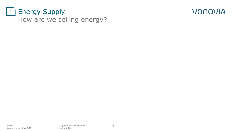## 1 | Energy Supply How are we selling energy?

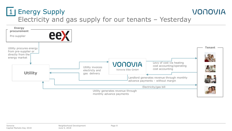#### 1 | Energy Supply VONOVIA Electricity and gas supply for our tenants – Yesterday

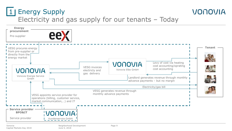## 1 | Energy Supply Electricity and gas supply for our tenants – Today

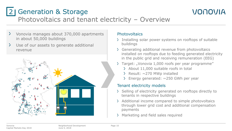# 2 | Generation & Storage



## Photovoltaics and tenant electricity – Overview

- Vonovia manages about 370,000 apartments  $\geq$ in about 50,000 buildings
- $\sum$ Use of our assets to generate additional revenue



#### **Photovoltaics**

- > Installing solar power systems on rooftops of suitable buildings
- > Generating additional revenue from photovoltaics installed on rooftops due to feeding generated electricity in the public grid and receiving remuneration (EEG)
- > Target: "Vonovia 1,000 roofs per year programme"
	- > About 11,000 suitable roofs in total
	- $\ge$  Result: ~270 MWp installed
	- $\geq$  Energy generated:  $\sim$ 250 GWh per year

#### Tenant electricity models

- Selling of electricity generated on rooftops directly to tenants in respective buildings
- > Additional income compared to simple photovoltaics through lower grid cost and additional compensation payments
- > Marketing and field sales required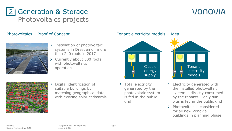## 2 | Generation & Storage Photovoltaics projects

## VONOVIA

#### Photovoltaics – Proof of Concept



- Installation of photovoltaic systems in Dresden on more than 240 roofs in 2017
- $\sum$ Currently about 500 roofs with photovoltaics in operation



Digital identification of suitable buildings by matching geographical data with existing solar cadastrals

#### Tenant electricity models – Idea



> Total electricity generated by the photovoltaic system is fed in the public grid



- Electricity generated with the installed photovoltaic system is directly consumed by the tenants – only surplus is fed in the public grid
- > Photovoltaic is considered for all new Vonovia buildings in planning phase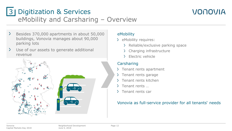## 3 | Digitization & Services eMobility and Carsharing – Overview



- $\sum$ Besides 370,000 apartments in about 50,000 buildings, Vonovia manages about 90,000 parking lots
- $\sum$ Use of our assets to generate additional revenue





#### eMobility

- > eMobility requires:
	- > Reliable/exclusive parking space
	- Charging infrastructure
	- > Flectric vehicle

#### Carsharing

- > Tenant rents apartment
- $\lambda$  Tenant rents garage
- Tenant rents kitchen
- $\lambda$  Tenant rents ...
- > Tenant rents car

#### Vonovia as full-service provider for all tenants' needs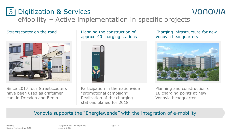## 3 | Digitization & Services eMobility – Active implementation in specific projects

#### Streetscooter on the road



Since 2017 four Streetscooters have been used as craftsmen cars in Dresden and Berlin

#### Planning the construction of approx. 40 charging stations



Participation in the nationwide "promotional campaign" Realization of the charging stations planed for 2018

#### Charging infrastructure for new Vonovia headquarters

VONOVIA



Planning and construction of 18 charging points at new Vonovia headquarter

#### Vonovia supports the "Energiewende" with the integration of e-mobility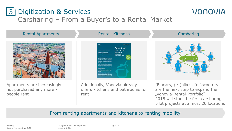## 3 | Digitization & Services Carsharing – From a Buyer's to a Rental Market

#### Rental Apartments **Rental Kitchens** Carsharing



Apartments are increasingly not purchased any more people rent



Additionally, Vonovia already offers kitchens and bathrooms for rent



VONOVIA

(E-)cars, (e-)bikes, (e-)scooters are the next step to expand the "Vonovia-Rental-Portfolio" 2018 will start the first carsharingpilot projects at almost 20 locations

#### From renting apartments and kitchens to renting mobility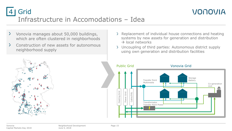Grid Infrastructure in Accomodations – Idea 4

- $\sum$ Vonovia manages about 50,000 buildings, which are often clustered in neighborhoods
- $\sum$ Construction of new assets for autonomous neighborhood supply



VONOVIA

Uncoupling of third parties: Autonomous district supply using own generation and distribution facilities



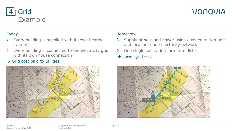#### Grid Example 4

## VONOVIA

#### **Today**

- Every building is supplied with its own heating  $\sum$ system
- $\sum$ Every building is connected to the electricity grid with its own house connection

#### $\rightarrow$  Grid cost paid to utilities



#### **Tomorrow**

- Supply of heat and power using a cogeneration unit  $\geq$ and local heat and electricity network
- One single substation for entire district  $\sum$
- $\rightarrow$  Lower grid cost

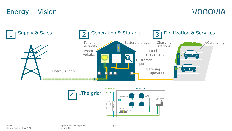## Energy – Vision



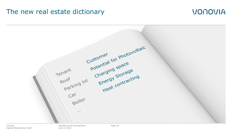### The new real estate dictionary

### **VONOVIA**



Vonovia Capital Markets Day 2018